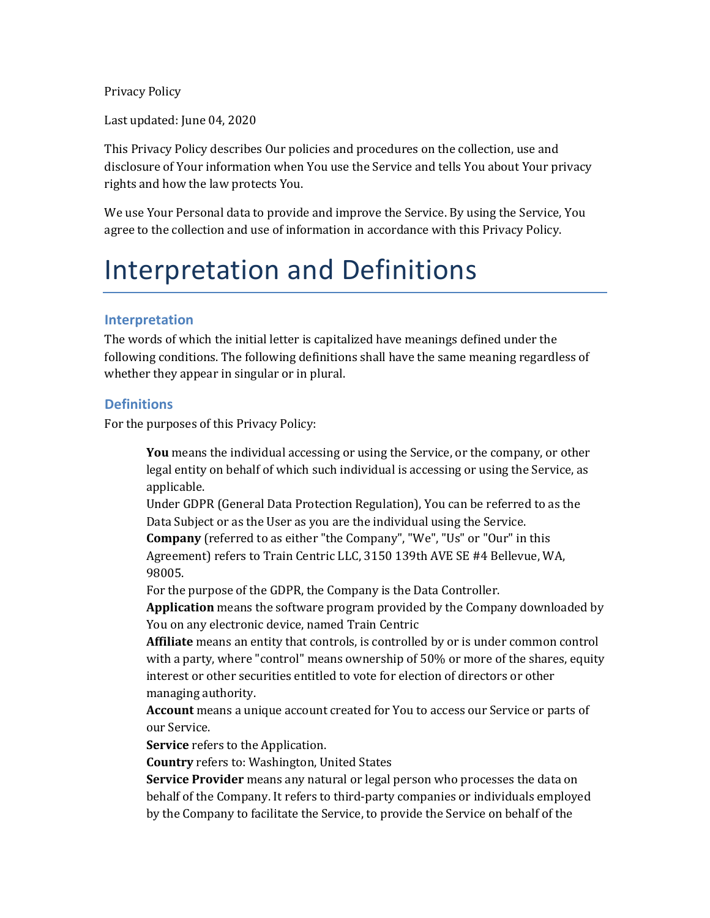Privacy Policy

Last updated: June 04, 2020

This Privacy Policy describes Our policies and procedures on the collection, use and disclosure of Your information when You use the Service and tells You about Your privacy rights and how the law protects You.

We use Your Personal data to provide and improve the Service. By using the Service, You agree to the collection and use of information in accordance with this Privacy Policy.

## Interpretation and Definitions

## **Interpretation**

The words of which the initial letter is capitalized have meanings defined under the following conditions. The following definitions shall have the same meaning regardless of whether they appear in singular or in plural.

## **Definitions**

For the purposes of this Privacy Policy:

**You** means the individual accessing or using the Service, or the company, or other legal entity on behalf of which such individual is accessing or using the Service, as applicable.

Under GDPR (General Data Protection Regulation), You can be referred to as the Data Subject or as the User as you are the individual using the Service.

**Company** (referred to as either "the Company", "We", "Us" or "Our" in this Agreement) refers to Train Centric LLC, 3150 139th AVE SE #4 Bellevue, WA, 98005.

For the purpose of the GDPR, the Company is the Data Controller.

**Application** means the software program provided by the Company downloaded by You on any electronic device, named Train Centric

**Affiliate** means an entity that controls, is controlled by or is under common control with a party, where "control" means ownership of  $50\%$  or more of the shares, equity interest or other securities entitled to vote for election of directors or other managing authority.

**Account** means a unique account created for You to access our Service or parts of our Service.

**Service** refers to the Application.

**Country** refers to: Washington, United States

**Service Provider** means any natural or legal person who processes the data on behalf of the Company. It refers to third-party companies or individuals employed by the Company to facilitate the Service, to provide the Service on behalf of the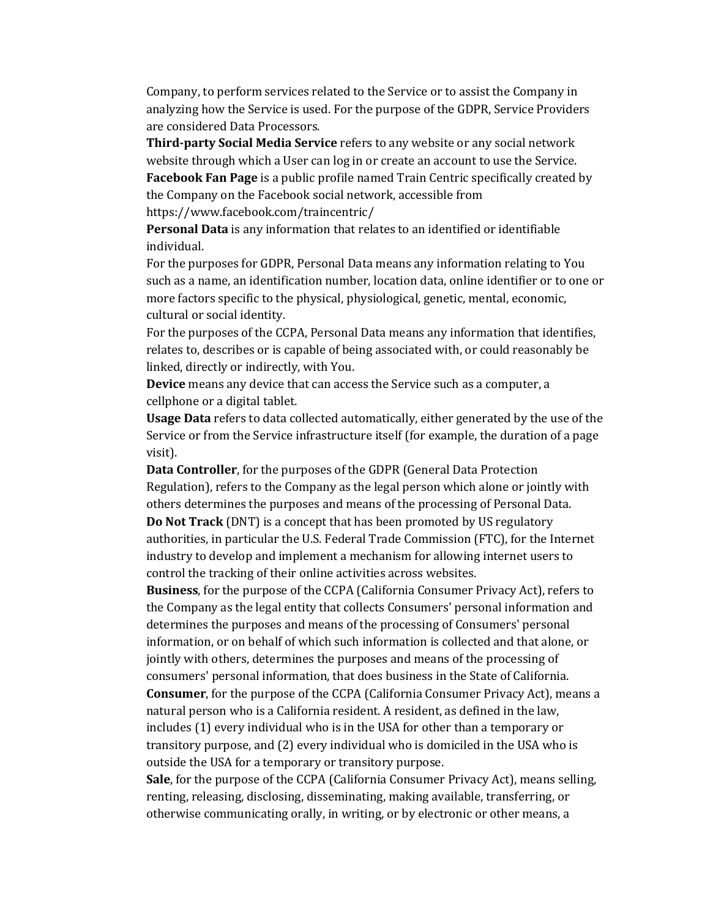Company, to perform services related to the Service or to assist the Company in analyzing how the Service is used. For the purpose of the GDPR, Service Providers are considered Data Processors.

**Third-party Social Media Service** refers to any website or any social network website through which a User can log in or create an account to use the Service. **Facebook Fan Page** is a public profile named Train Centric specifically created by the Company on the Facebook social network, accessible from https://www.facebook.com/traincentric/

**Personal Data** is any information that relates to an identified or identifiable individual.

For the purposes for GDPR, Personal Data means any information relating to You such as a name, an identification number, location data, online identifier or to one or more factors specific to the physical, physiological, genetic, mental, economic, cultural or social identity.

For the purposes of the CCPA, Personal Data means any information that identifies, relates to, describes or is capable of being associated with, or could reasonably be linked, directly or indirectly, with You.

**Device** means any device that can access the Service such as a computer, a cellphone or a digital tablet.

**Usage Data** refers to data collected automatically, either generated by the use of the Service or from the Service infrastructure itself (for example, the duration of a page visit).

**Data Controller**, for the purposes of the GDPR (General Data Protection Regulation), refers to the Company as the legal person which alone or jointly with others determines the purposes and means of the processing of Personal Data. **Do Not Track** (DNT) is a concept that has been promoted by US regulatory authorities, in particular the U.S. Federal Trade Commission (FTC), for the Internet industry to develop and implement a mechanism for allowing internet users to control the tracking of their online activities across websites.

**Business**, for the purpose of the CCPA (California Consumer Privacy Act), refers to the Company as the legal entity that collects Consumers' personal information and determines the purposes and means of the processing of Consumers' personal information, or on behalf of which such information is collected and that alone, or jointly with others, determines the purposes and means of the processing of consumers' personal information, that does business in the State of California. **Consumer**, for the purpose of the CCPA (California Consumer Privacy Act), means a natural person who is a California resident. A resident, as defined in the law, includes (1) every individual who is in the USA for other than a temporary or transitory purpose, and (2) every individual who is domiciled in the USA who is outside the USA for a temporary or transitory purpose.

**Sale**, for the purpose of the CCPA (California Consumer Privacy Act), means selling, renting, releasing, disclosing, disseminating, making available, transferring, or otherwise communicating orally, in writing, or by electronic or other means, a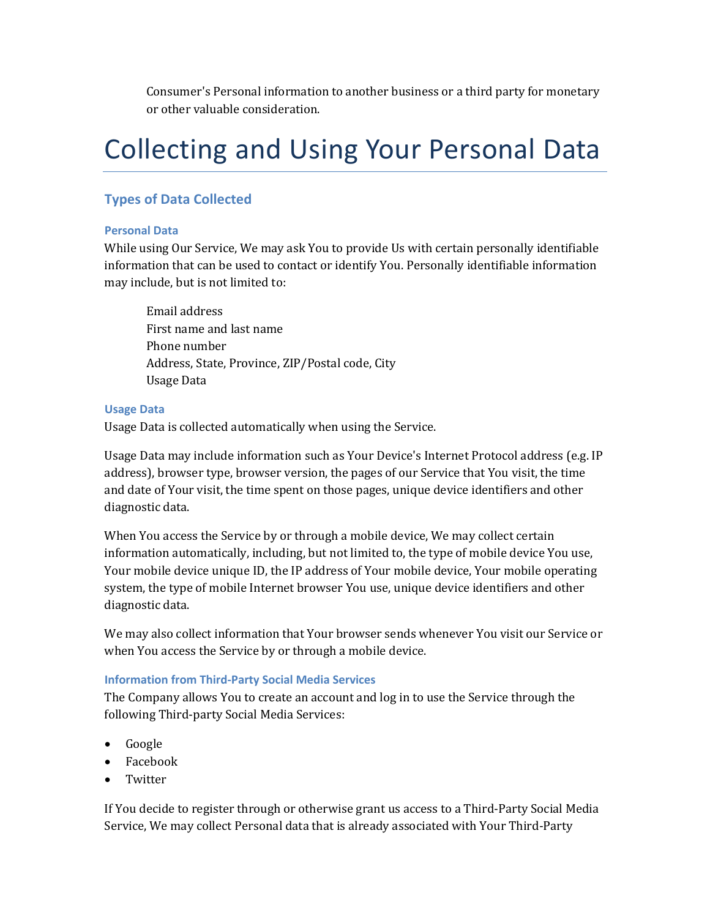Consumer's Personal information to another business or a third party for monetary or other valuable consideration.

## Collecting and Using Your Personal Data

## **Types of Data Collected**

#### **Personal Data**

While using Our Service, We may ask You to provide Us with certain personally identifiable information that can be used to contact or identify You. Personally identifiable information may include, but is not limited to:

Email address First name and last name Phone number Address, State, Province, ZIP/Postal code, City Usage Data

#### **Usage Data**

Usage Data is collected automatically when using the Service.

Usage Data may include information such as Your Device's Internet Protocol address (e.g. IP address), browser type, browser version, the pages of our Service that You visit, the time and date of Your visit, the time spent on those pages, unique device identifiers and other diagnostic data.

When You access the Service by or through a mobile device, We may collect certain information automatically, including, but not limited to, the type of mobile device You use, Your mobile device unique ID, the IP address of Your mobile device, Your mobile operating system, the type of mobile Internet browser You use, unique device identifiers and other diagnostic data.

We may also collect information that Your browser sends whenever You visit our Service or when You access the Service by or through a mobile device.

## **Information from Third-Party Social Media Services**

The Company allows You to create an account and log in to use the Service through the following Third-party Social Media Services:

- Google
- Facebook
- Twitter

If You decide to register through or otherwise grant us access to a Third-Party Social Media Service, We may collect Personal data that is already associated with Your Third-Party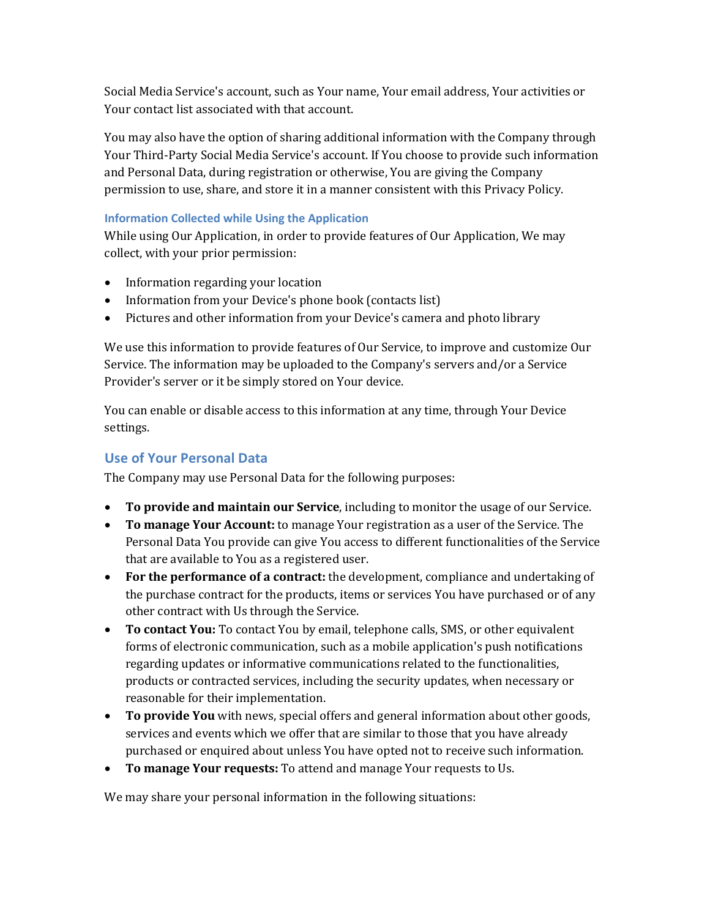Social Media Service's account, such as Your name, Your email address, Your activities or Your contact list associated with that account.

You may also have the option of sharing additional information with the Company through Your Third-Party Social Media Service's account. If You choose to provide such information and Personal Data, during registration or otherwise, You are giving the Company permission to use, share, and store it in a manner consistent with this Privacy Policy.

## **Information Collected while Using the Application**

While using Our Application, in order to provide features of Our Application, We may collect, with your prior permission:

- Information regarding your location
- Information from your Device's phone book (contacts list)
- Pictures and other information from your Device's camera and photo library

We use this information to provide features of Our Service, to improve and customize Our Service. The information may be uploaded to the Company's servers and/or a Service Provider's server or it be simply stored on Your device.

You can enable or disable access to this information at any time, through Your Device settings.

## **Use of Your Personal Data**

The Company may use Personal Data for the following purposes:

- **To provide and maintain our Service**, including to monitor the usage of our Service.
- To manage Your Account: to manage Your registration as a user of the Service. The Personal Data You provide can give You access to different functionalities of the Service that are available to You as a registered user.
- For the performance of a contract: the development, compliance and undertaking of the purchase contract for the products, items or services You have purchased or of any other contract with Us through the Service.
- **To contact You:** To contact You by email, telephone calls, SMS, or other equivalent forms of electronic communication, such as a mobile application's push notifications regarding updates or informative communications related to the functionalities, products or contracted services, including the security updates, when necessary or reasonable for their implementation.
- **To provide You** with news, special offers and general information about other goods, services and events which we offer that are similar to those that you have already purchased or enquired about unless You have opted not to receive such information.
- To manage Your requests: To attend and manage Your requests to Us.

We may share your personal information in the following situations: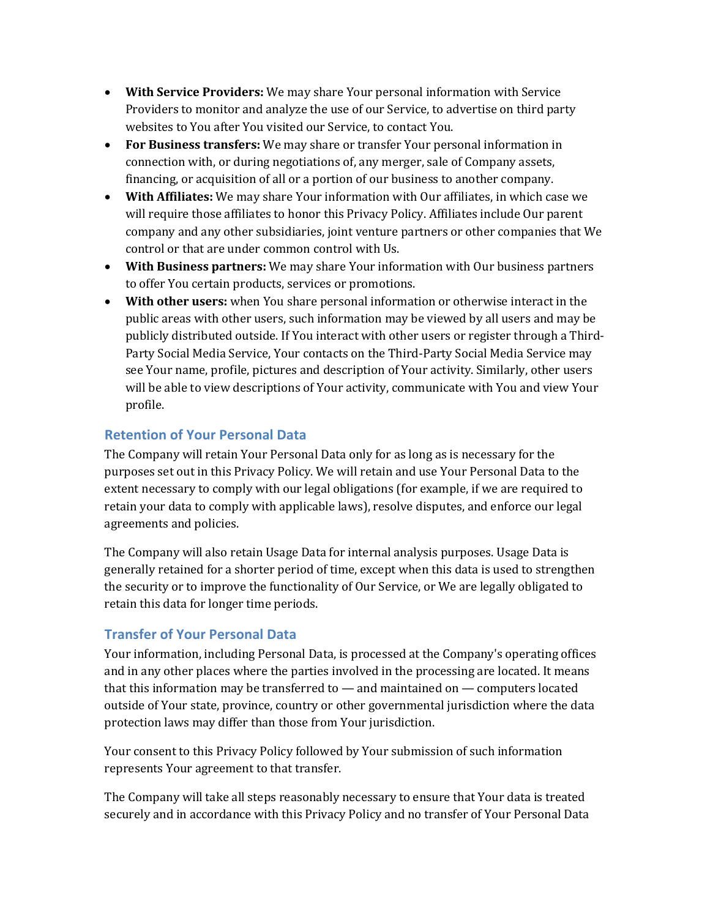- **With Service Providers:** We may share Your personal information with Service Providers to monitor and analyze the use of our Service, to advertise on third party websites to You after You visited our Service, to contact You.
- For Business transfers: We may share or transfer Your personal information in connection with, or during negotiations of, any merger, sale of Company assets, financing, or acquisition of all or a portion of our business to another company.
- **With Affiliates:** We may share Your information with Our affiliates, in which case we will require those affiliates to honor this Privacy Policy. Affiliates include Our parent company and any other subsidiaries, joint venture partners or other companies that We control or that are under common control with Us.
- With Business partners: We may share Your information with Our business partners to offer You certain products, services or promotions.
- With other users: when You share personal information or otherwise interact in the public areas with other users, such information may be viewed by all users and may be publicly distributed outside. If You interact with other users or register through a Third-Party Social Media Service, Your contacts on the Third-Party Social Media Service may see Your name, profile, pictures and description of Your activity. Similarly, other users will be able to view descriptions of Your activity, communicate with You and view Your profile.

## **Retention of Your Personal Data**

The Company will retain Your Personal Data only for as long as is necessary for the purposes set out in this Privacy Policy. We will retain and use Your Personal Data to the extent necessary to comply with our legal obligations (for example, if we are required to retain your data to comply with applicable laws), resolve disputes, and enforce our legal agreements and policies.

The Company will also retain Usage Data for internal analysis purposes. Usage Data is generally retained for a shorter period of time, except when this data is used to strengthen the security or to improve the functionality of Our Service, or We are legally obligated to retain this data for longer time periods.

## **Transfer of Your Personal Data**

Your information, including Personal Data, is processed at the Company's operating offices and in any other places where the parties involved in the processing are located. It means that this information may be transferred to  $-$  and maintained on  $-$  computers located outside of Your state, province, country or other governmental jurisdiction where the data protection laws may differ than those from Your jurisdiction.

Your consent to this Privacy Policy followed by Your submission of such information represents Your agreement to that transfer.

The Company will take all steps reasonably necessary to ensure that Your data is treated securely and in accordance with this Privacy Policy and no transfer of Your Personal Data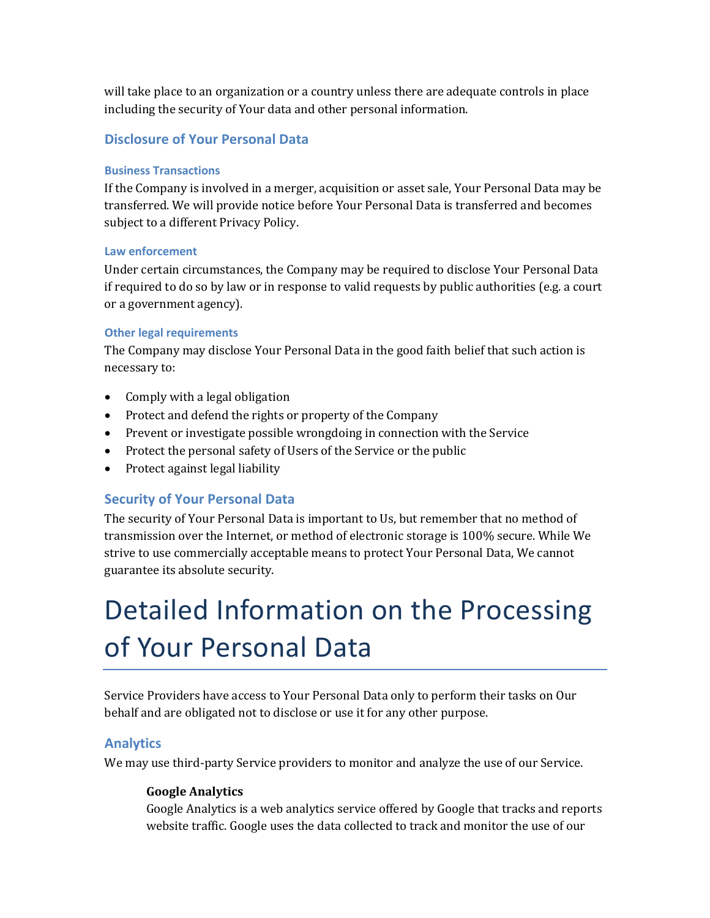will take place to an organization or a country unless there are adequate controls in place including the security of Your data and other personal information.

## **Disclosure of Your Personal Data**

#### **Business Transactions**

If the Company is involved in a merger, acquisition or asset sale, Your Personal Data may be transferred. We will provide notice before Your Personal Data is transferred and becomes subject to a different Privacy Policy.

#### **Law enforcement**

Under certain circumstances, the Company may be required to disclose Your Personal Data if required to do so by law or in response to valid requests by public authorities (e.g. a court or a government agency).

#### **Other legal requirements**

The Company may disclose Your Personal Data in the good faith belief that such action is necessary to:

- Comply with a legal obligation
- Protect and defend the rights or property of the Company
- Prevent or investigate possible wrongdoing in connection with the Service
- Protect the personal safety of Users of the Service or the public
- Protect against legal liability

## **Security of Your Personal Data**

The security of Your Personal Data is important to Us, but remember that no method of transmission over the Internet, or method of electronic storage is 100% secure. While We strive to use commercially acceptable means to protect Your Personal Data, We cannot guarantee its absolute security.

# Detailed Information on the Processing of Your Personal Data

Service Providers have access to Your Personal Data only to perform their tasks on Our behalf and are obligated not to disclose or use it for any other purpose.

## **Analytics**

We may use third-party Service providers to monitor and analyze the use of our Service.

#### **Google Analytics**

Google Analytics is a web analytics service offered by Google that tracks and reports website traffic. Google uses the data collected to track and monitor the use of our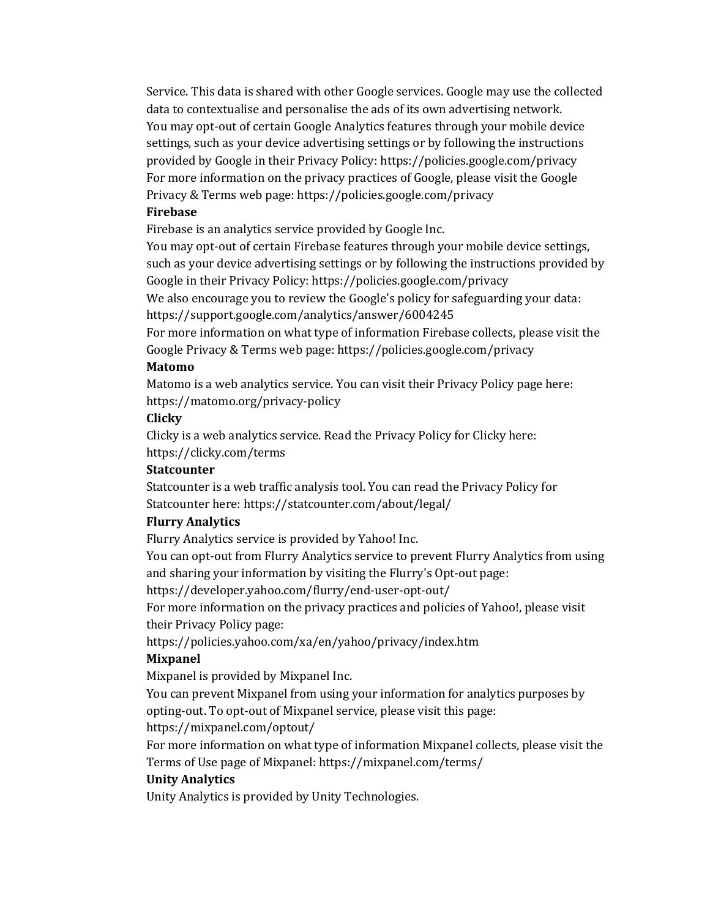Service. This data is shared with other Google services. Google may use the collected data to contextualise and personalise the ads of its own advertising network. You may opt-out of certain Google Analytics features through your mobile device settings, such as your device advertising settings or by following the instructions provided by Google in their Privacy Policy: https://policies.google.com/privacy For more information on the privacy practices of Google, please visit the Google Privacy & Terms web page: https://policies.google.com/privacy

#### **Firebase**

Firebase is an analytics service provided by Google Inc.

You may opt-out of certain Firebase features through your mobile device settings, such as your device advertising settings or by following the instructions provided by Google in their Privacy Policy: https://policies.google.com/privacy

We also encourage you to review the Google's policy for safeguarding your data: https://support.google.com/analytics/answer/6004245

For more information on what type of information Firebase collects, please visit the Google Privacy & Terms web page: https://policies.google.com/privacy

### **Matomo**

Matomo is a web analytics service. You can visit their Privacy Policy page here: https://matomo.org/privacy-policy

#### **Clicky**

Clicky is a web analytics service. Read the Privacy Policy for Clicky here: https://clicky.com/terms

#### **Statcounter**

Statcounter is a web traffic analysis tool. You can read the Privacy Policy for Statcounter here: https://statcounter.com/about/legal/

#### **Flurry Analytics**

Flurry Analytics service is provided by Yahoo! Inc.

You can opt-out from Flurry Analytics service to prevent Flurry Analytics from using and sharing your information by visiting the Flurry's Opt-out page:

https://developer.yahoo.com/flurry/end-user-opt-out/

For more information on the privacy practices and policies of Yahoo!, please visit their Privacy Policy page:

https://policies.yahoo.com/xa/en/yahoo/privacy/index.htm

#### **Mixpanel**

Mixpanel is provided by Mixpanel Inc.

You can prevent Mixpanel from using your information for analytics purposes by opting-out. To opt-out of Mixpanel service, please visit this page:

https://mixpanel.com/optout/

For more information on what type of information Mixpanel collects, please visit the Terms of Use page of Mixpanel: https://mixpanel.com/terms/

#### **Unity Analytics**

Unity Analytics is provided by Unity Technologies.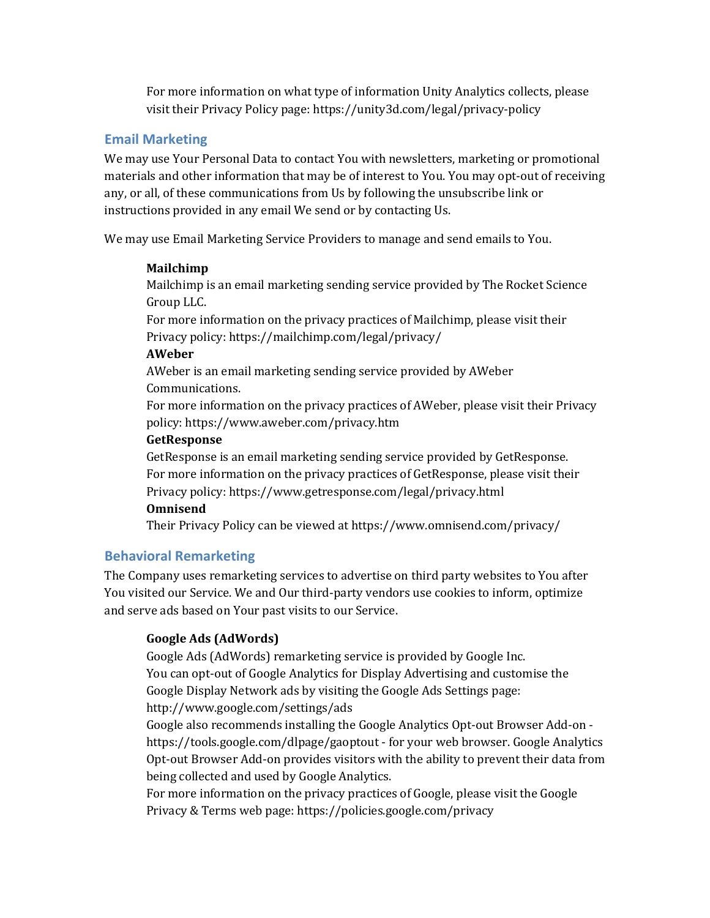For more information on what type of information Unity Analytics collects, please visit their Privacy Policy page: https://unity3d.com/legal/privacy-policy

## **Email Marketing**

We may use Your Personal Data to contact You with newsletters, marketing or promotional materials and other information that may be of interest to You. You may opt-out of receiving any, or all, of these communications from Us by following the unsubscribe link or instructions provided in any email We send or by contacting Us.

We may use Email Marketing Service Providers to manage and send emails to You.

## **Mailchimp**

Mailchimp is an email marketing sending service provided by The Rocket Science Group LLC.

For more information on the privacy practices of Mailchimp, please visit their Privacy policy: https://mailchimp.com/legal/privacy/

## **AWeber**

AWeber is an email marketing sending service provided by AWeber Communications.

For more information on the privacy practices of AWeber, please visit their Privacy policy: https://www.aweber.com/privacy.htm

## **GetResponse**

GetResponse is an email marketing sending service provided by GetResponse. For more information on the privacy practices of GetResponse, please visit their Privacy policy: https://www.getresponse.com/legal/privacy.html

## **Omnisend**

Their Privacy Policy can be viewed at https://www.omnisend.com/privacy/

## **Behavioral Remarketing**

The Company uses remarketing services to advertise on third party websites to You after You visited our Service. We and Our third-party vendors use cookies to inform, optimize and serve ads based on Your past visits to our Service.

## **Google Ads (AdWords)**

Google Ads (AdWords) remarketing service is provided by Google Inc. You can opt-out of Google Analytics for Display Advertising and customise the Google Display Network ads by visiting the Google Ads Settings page: http://www.google.com/settings/ads

Google also recommends installing the Google Analytics Opt-out Browser Add-on https://tools.google.com/dlpage/gaoptout - for your web browser. Google Analytics Opt-out Browser Add-on provides visitors with the ability to prevent their data from being collected and used by Google Analytics.

For more information on the privacy practices of Google, please visit the Google Privacy & Terms web page: https://policies.google.com/privacy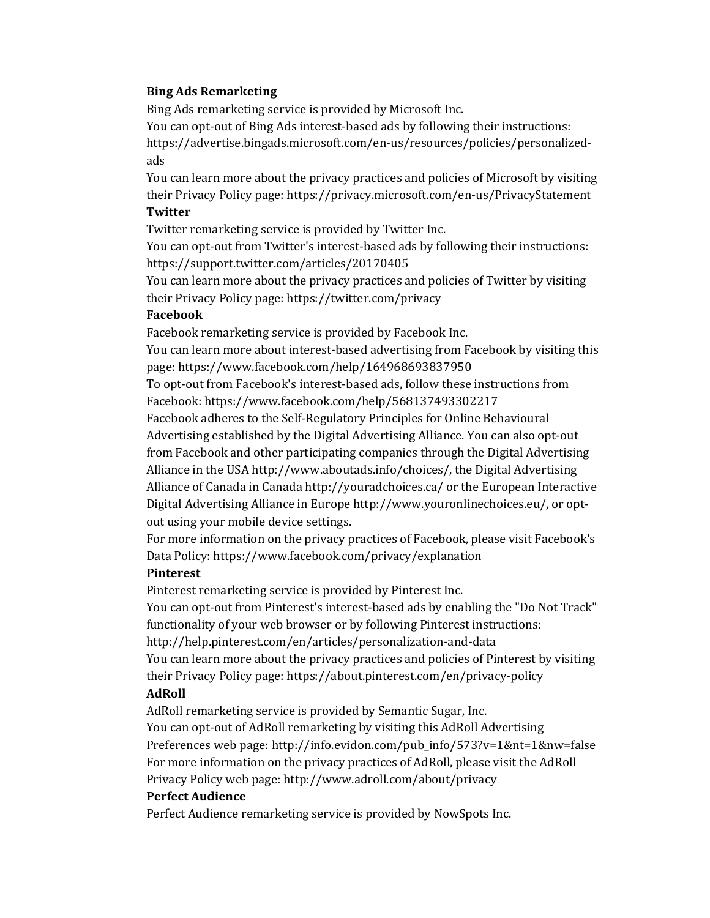#### **Bing Ads Remarketing**

Bing Ads remarketing service is provided by Microsoft Inc.

You can opt-out of Bing Ads interest-based ads by following their instructions: https://advertise.bingads.microsoft.com/en-us/resources/policies/personalizedads

You can learn more about the privacy practices and policies of Microsoft by visiting their Privacy Policy page: https://privacy.microsoft.com/en-us/PrivacyStatement **Twitter**

Twitter remarketing service is provided by Twitter Inc.

You can opt-out from Twitter's interest-based ads by following their instructions: https://support.twitter.com/articles/20170405

You can learn more about the privacy practices and policies of Twitter by visiting their Privacy Policy page: https://twitter.com/privacy

#### **Facebook**

Facebook remarketing service is provided by Facebook Inc.

You can learn more about interest-based advertising from Facebook by visiting this page: https://www.facebook.com/help/164968693837950

To opt-out from Facebook's interest-based ads, follow these instructions from Facebook: https://www.facebook.com/help/568137493302217

Facebook adheres to the Self-Regulatory Principles for Online Behavioural Advertising established by the Digital Advertising Alliance. You can also opt-out from Facebook and other participating companies through the Digital Advertising Alliance in the USA http://www.aboutads.info/choices/, the Digital Advertising Alliance of Canada in Canada http://youradchoices.ca/ or the European Interactive Digital Advertising Alliance in Europe http://www.youronlinechoices.eu/, or optout using your mobile device settings.

For more information on the privacy practices of Facebook, please visit Facebook's Data Policy: https://www.facebook.com/privacy/explanation

#### **Pinterest**

Pinterest remarketing service is provided by Pinterest Inc. You can opt-out from Pinterest's interest-based ads by enabling the "Do Not Track" functionality of your web browser or by following Pinterest instructions: http://help.pinterest.com/en/articles/personalization-and-data You can learn more about the privacy practices and policies of Pinterest by visiting their Privacy Policy page: https://about.pinterest.com/en/privacy-policy **AdRoll**

AdRoll remarketing service is provided by Semantic Sugar, Inc. You can opt-out of AdRoll remarketing by visiting this AdRoll Advertising Preferences web page: http://info.evidon.com/pub\_info/573?v=1&nt=1&nw=false For more information on the privacy practices of AdRoll, please visit the AdRoll Privacy Policy web page: http://www.adroll.com/about/privacy

#### **Perfect Audience**

Perfect Audience remarketing service is provided by NowSpots Inc.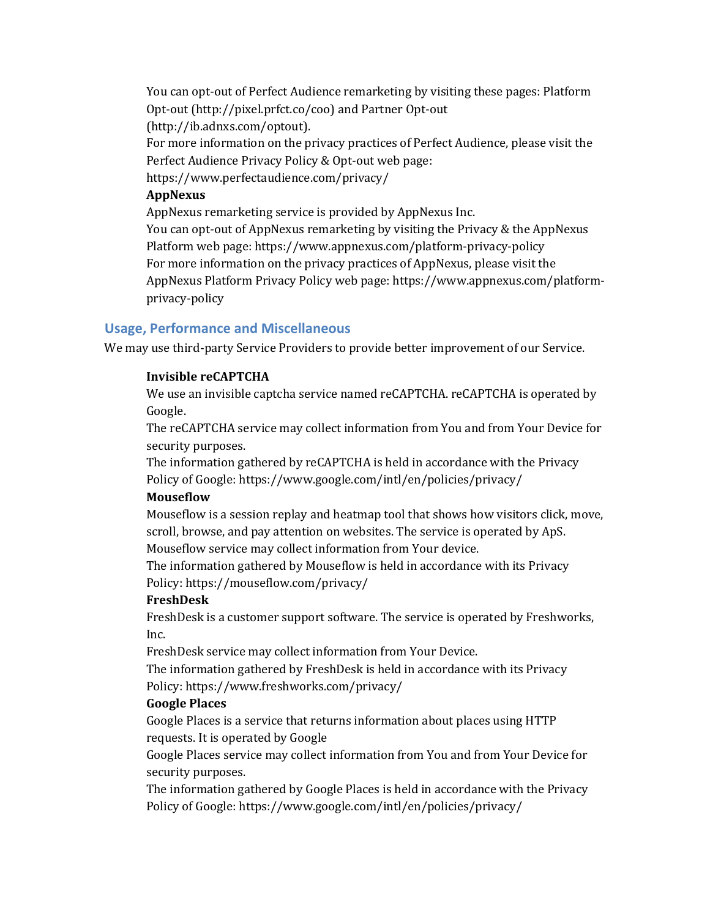You can opt-out of Perfect Audience remarketing by visiting these pages: Platform Opt-out (http://pixel.prfct.co/coo) and Partner Opt-out (http://ib.adnxs.com/optout).

For more information on the privacy practices of Perfect Audience, please visit the Perfect Audience Privacy Policy & Opt-out web page:

https://www.perfectaudience.com/privacy/

#### **AppNexus**

AppNexus remarketing service is provided by AppNexus Inc. You can opt-out of AppNexus remarketing by visiting the Privacy & the AppNexus Platform web page: https://www.appnexus.com/platform-privacy-policy For more information on the privacy practices of AppNexus, please visit the AppNexus Platform Privacy Policy web page: https://www.appnexus.com/platformprivacy-policy

## **Usage, Performance and Miscellaneous**

We may use third-party Service Providers to provide better improvement of our Service.

## **Invisible reCAPTCHA**

We use an invisible captcha service named reCAPTCHA. reCAPTCHA is operated by Google.

The reCAPTCHA service may collect information from You and from Your Device for security purposes.

The information gathered by reCAPTCHA is held in accordance with the Privacy Policy of Google: https://www.google.com/intl/en/policies/privacy/

## **Mouseflow**

Mouseflow is a session replay and heatmap tool that shows how visitors click, move, scroll, browse, and pay attention on websites. The service is operated by ApS. Mouseflow service may collect information from Your device.

The information gathered by Mouseflow is held in accordance with its Privacy Policy: https://mouseflow.com/privacy/

## **FreshDesk**

FreshDesk is a customer support software. The service is operated by Freshworks, Inc.

FreshDesk service may collect information from Your Device.

The information gathered by FreshDesk is held in accordance with its Privacy Policy: https://www.freshworks.com/privacy/

## **Google Places**

Google Places is a service that returns information about places using HTTP requests. It is operated by Google

Google Places service may collect information from You and from Your Device for security purposes.

The information gathered by Google Places is held in accordance with the Privacy Policy of Google: https://www.google.com/intl/en/policies/privacy/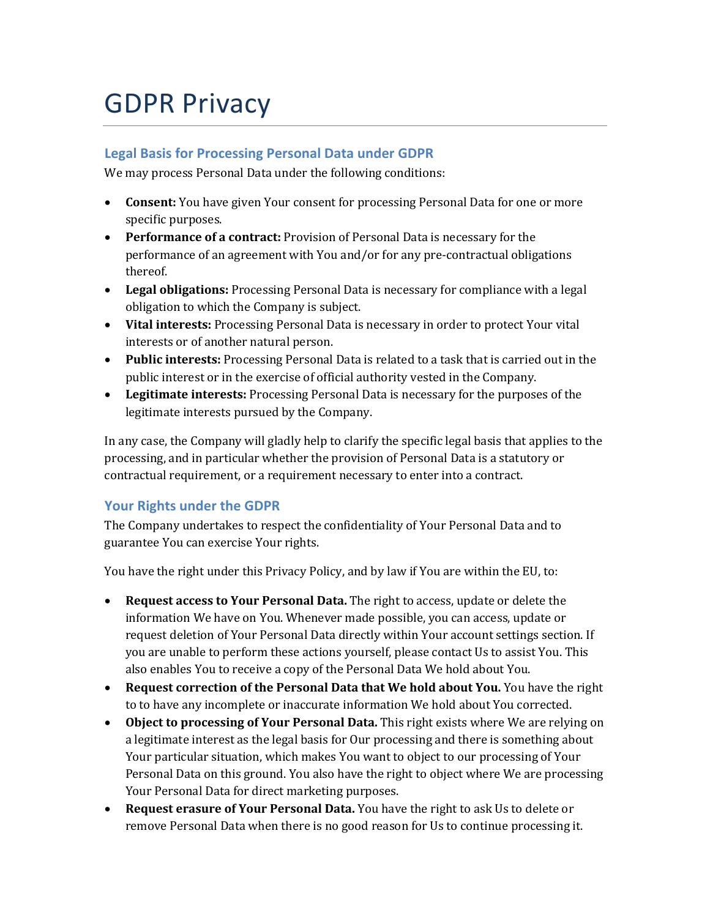## GDPR Privacy

## **Legal Basis for Processing Personal Data under GDPR**

We may process Personal Data under the following conditions:

- **Consent:** You have given Your consent for processing Personal Data for one or more specific purposes.
- Performance of a contract: Provision of Personal Data is necessary for the performance of an agreement with You and/or for any pre-contractual obligations thereof.
- Legal obligations: Processing Personal Data is necessary for compliance with a legal obligation to which the Company is subject.
- Vital interests: Processing Personal Data is necessary in order to protect Your vital interests or of another natural person.
- Public interests: Processing Personal Data is related to a task that is carried out in the public interest or in the exercise of official authority vested in the Company.
- Legitimate interests: Processing Personal Data is necessary for the purposes of the legitimate interests pursued by the Company.

In any case, the Company will gladly help to clarify the specific legal basis that applies to the processing, and in particular whether the provision of Personal Data is a statutory or contractual requirement, or a requirement necessary to enter into a contract.

## **Your Rights under the GDPR**

The Company undertakes to respect the confidentiality of Your Personal Data and to guarantee You can exercise Your rights.

You have the right under this Privacy Policy, and by law if You are within the EU, to:

- **Request access to Your Personal Data.** The right to access, update or delete the information We have on You. Whenever made possible, you can access, update or request deletion of Your Personal Data directly within Your account settings section. If you are unable to perform these actions yourself, please contact Us to assist You. This also enables You to receive a copy of the Personal Data We hold about You.
- **Request correction of the Personal Data that We hold about You.** You have the right to to have any incomplete or inaccurate information We hold about You corrected.
- Object to processing of Your Personal Data. This right exists where We are relying on a legitimate interest as the legal basis for Our processing and there is something about Your particular situation, which makes You want to object to our processing of Your Personal Data on this ground. You also have the right to object where We are processing Your Personal Data for direct marketing purposes.
- Request erasure of Your Personal Data. You have the right to ask Us to delete or remove Personal Data when there is no good reason for Us to continue processing it.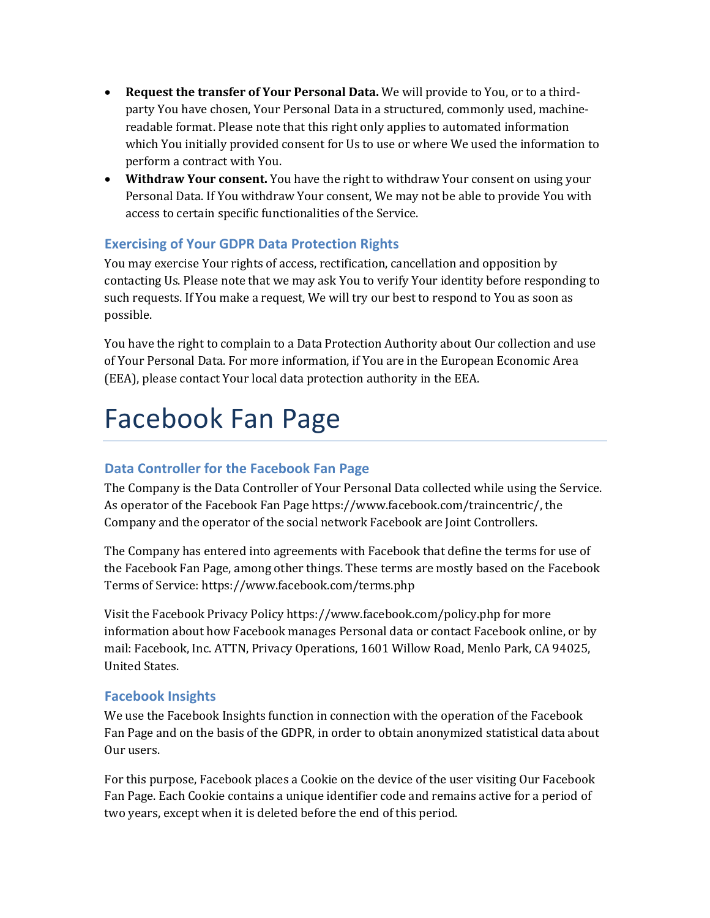- **Request the transfer of Your Personal Data.** We will provide to You, or to a thirdparty You have chosen, Your Personal Data in a structured, commonly used, machinereadable format. Please note that this right only applies to automated information which You initially provided consent for Us to use or where We used the information to perform a contract with You.
- **Withdraw Your consent.** You have the right to withdraw Your consent on using your Personal Data. If You withdraw Your consent, We may not be able to provide You with access to certain specific functionalities of the Service.

## **Exercising of Your GDPR Data Protection Rights**

You may exercise Your rights of access, rectification, cancellation and opposition by contacting Us. Please note that we may ask You to verify Your identity before responding to such requests. If You make a request, We will try our best to respond to You as soon as possible.

You have the right to complain to a Data Protection Authority about Our collection and use of Your Personal Data. For more information, if You are in the European Economic Area (EEA), please contact Your local data protection authority in the EEA.

## Facebook Fan Page

## **Data Controller for the Facebook Fan Page**

The Company is the Data Controller of Your Personal Data collected while using the Service. As operator of the Facebook Fan Page https://www.facebook.com/traincentric/, the Company and the operator of the social network Facebook are Joint Controllers.

The Company has entered into agreements with Facebook that define the terms for use of the Facebook Fan Page, among other things. These terms are mostly based on the Facebook Terms of Service: https://www.facebook.com/terms.php

Visit the Facebook Privacy Policy https://www.facebook.com/policy.php for more information about how Facebook manages Personal data or contact Facebook online, or by mail: Facebook, Inc. ATTN, Privacy Operations, 1601 Willow Road, Menlo Park, CA 94025, United States.

## **Facebook Insights**

We use the Facebook Insights function in connection with the operation of the Facebook Fan Page and on the basis of the GDPR, in order to obtain anonymized statistical data about Our users.

For this purpose, Facebook places a Cookie on the device of the user visiting Our Facebook Fan Page. Each Cookie contains a unique identifier code and remains active for a period of two years, except when it is deleted before the end of this period.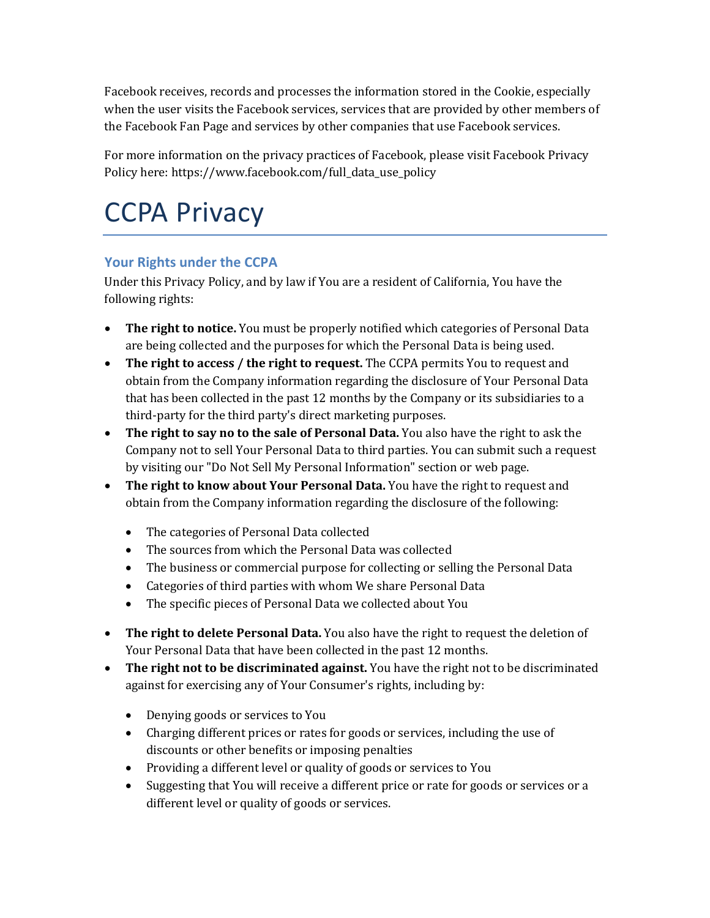Facebook receives, records and processes the information stored in the Cookie, especially when the user visits the Facebook services, services that are provided by other members of the Facebook Fan Page and services by other companies that use Facebook services.

For more information on the privacy practices of Facebook, please visit Facebook Privacy Policy here: https://www.facebook.com/full\_data\_use\_policy

# CCPA Privacy

## **Your Rights under the CCPA**

Under this Privacy Policy, and by law if You are a resident of California, You have the following rights:

- The right to notice. You must be properly notified which categories of Personal Data are being collected and the purposes for which the Personal Data is being used.
- The right to access / the right to request. The CCPA permits You to request and obtain from the Company information regarding the disclosure of Your Personal Data that has been collected in the past 12 months by the Company or its subsidiaries to a third-party for the third party's direct marketing purposes.
- The right to say no to the sale of Personal Data. You also have the right to ask the Company not to sell Your Personal Data to third parties. You can submit such a request by visiting our "Do Not Sell My Personal Information" section or web page.
- The right to know about Your Personal Data. You have the right to request and obtain from the Company information regarding the disclosure of the following:
	- The categories of Personal Data collected
	- The sources from which the Personal Data was collected
	- The business or commercial purpose for collecting or selling the Personal Data
	- Categories of third parties with whom We share Personal Data
	- The specific pieces of Personal Data we collected about You
- The right to delete Personal Data. You also have the right to request the deletion of Your Personal Data that have been collected in the past 12 months.
- The right not to be discriminated against. You have the right not to be discriminated against for exercising any of Your Consumer's rights, including by:
	- Denying goods or services to You
	- Charging different prices or rates for goods or services, including the use of discounts or other benefits or imposing penalties
	- Providing a different level or quality of goods or services to You
	- Suggesting that You will receive a different price or rate for goods or services or a different level or quality of goods or services.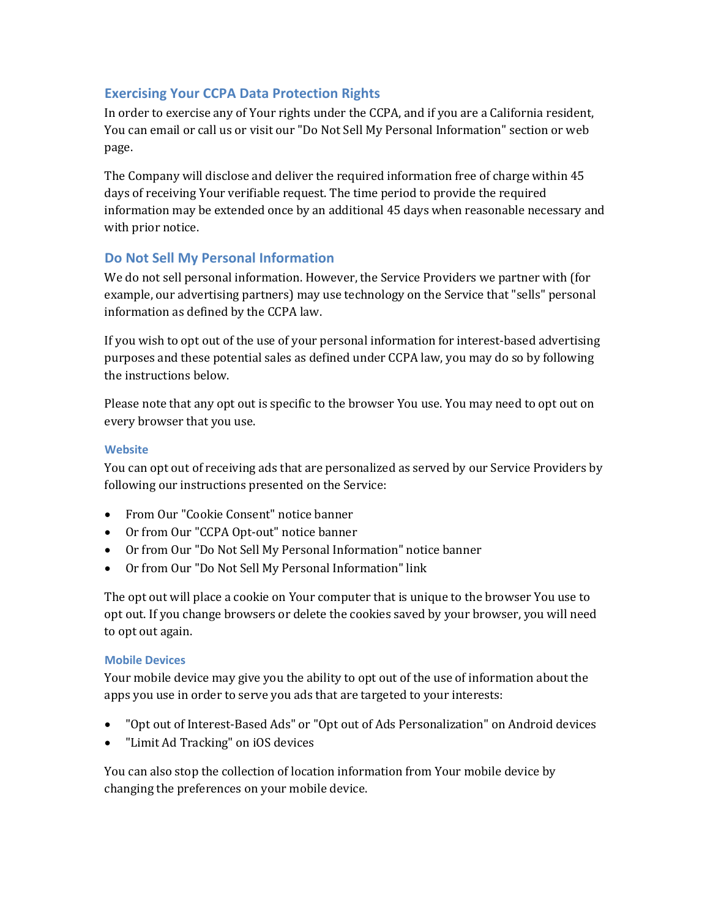## **Exercising Your CCPA Data Protection Rights**

In order to exercise any of Your rights under the CCPA, and if you are a California resident, You can email or call us or visit our "Do Not Sell My Personal Information" section or web page.

The Company will disclose and deliver the required information free of charge within 45 days of receiving Your verifiable request. The time period to provide the required information may be extended once by an additional 45 days when reasonable necessary and with prior notice.

## **Do Not Sell My Personal Information**

We do not sell personal information. However, the Service Providers we partner with (for example, our advertising partners) may use technology on the Service that "sells" personal information as defined by the CCPA law.

If you wish to opt out of the use of your personal information for interest-based advertising purposes and these potential sales as defined under CCPA law, you may do so by following the instructions below.

Please note that any opt out is specific to the browser You use. You may need to opt out on every browser that you use.

## **Website**

You can opt out of receiving ads that are personalized as served by our Service Providers by following our instructions presented on the Service:

- From Our "Cookie Consent" notice banner
- Or from Our "CCPA Opt-out" notice banner
- Or from Our "Do Not Sell My Personal Information" notice banner
- Or from Our "Do Not Sell My Personal Information" link

The opt out will place a cookie on Your computer that is unique to the browser You use to opt out. If you change browsers or delete the cookies saved by your browser, you will need to opt out again.

## **Mobile Devices**

Your mobile device may give you the ability to opt out of the use of information about the apps you use in order to serve you ads that are targeted to your interests:

- "Opt out of Interest-Based Ads" or "Opt out of Ads Personalization" on Android devices
- "Limit Ad Tracking" on iOS devices

You can also stop the collection of location information from Your mobile device by changing the preferences on your mobile device.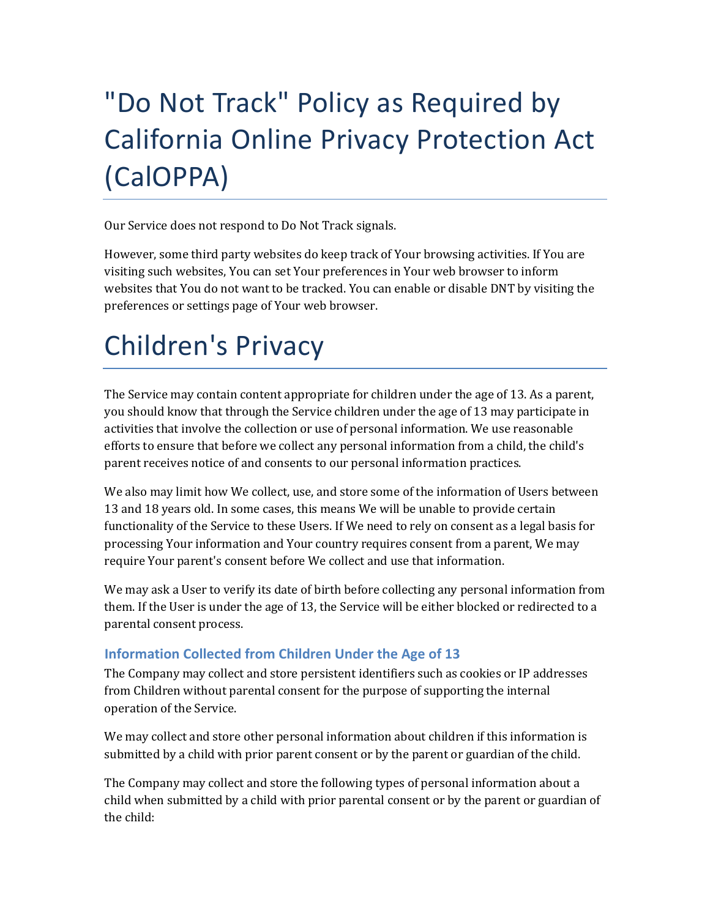# "Do Not Track" Policy as Required by California Online Privacy Protection Act (CalOPPA)

Our Service does not respond to Do Not Track signals.

However, some third party websites do keep track of Your browsing activities. If You are visiting such websites, You can set Your preferences in Your web browser to inform websites that You do not want to be tracked. You can enable or disable DNT by visiting the preferences or settings page of Your web browser.

# Children's Privacy

The Service may contain content appropriate for children under the age of 13. As a parent, you should know that through the Service children under the age of 13 may participate in activities that involve the collection or use of personal information. We use reasonable efforts to ensure that before we collect any personal information from a child, the child's parent receives notice of and consents to our personal information practices.

We also may limit how We collect, use, and store some of the information of Users between 13 and 18 years old. In some cases, this means We will be unable to provide certain functionality of the Service to these Users. If We need to rely on consent as a legal basis for processing Your information and Your country requires consent from a parent, We may require Your parent's consent before We collect and use that information.

We may ask a User to verify its date of birth before collecting any personal information from them. If the User is under the age of 13, the Service will be either blocked or redirected to a parental consent process.

## **Information Collected from Children Under the Age of 13**

The Company may collect and store persistent identifiers such as cookies or IP addresses from Children without parental consent for the purpose of supporting the internal operation of the Service.

We may collect and store other personal information about children if this information is submitted by a child with prior parent consent or by the parent or guardian of the child.

The Company may collect and store the following types of personal information about a child when submitted by a child with prior parental consent or by the parent or guardian of the child: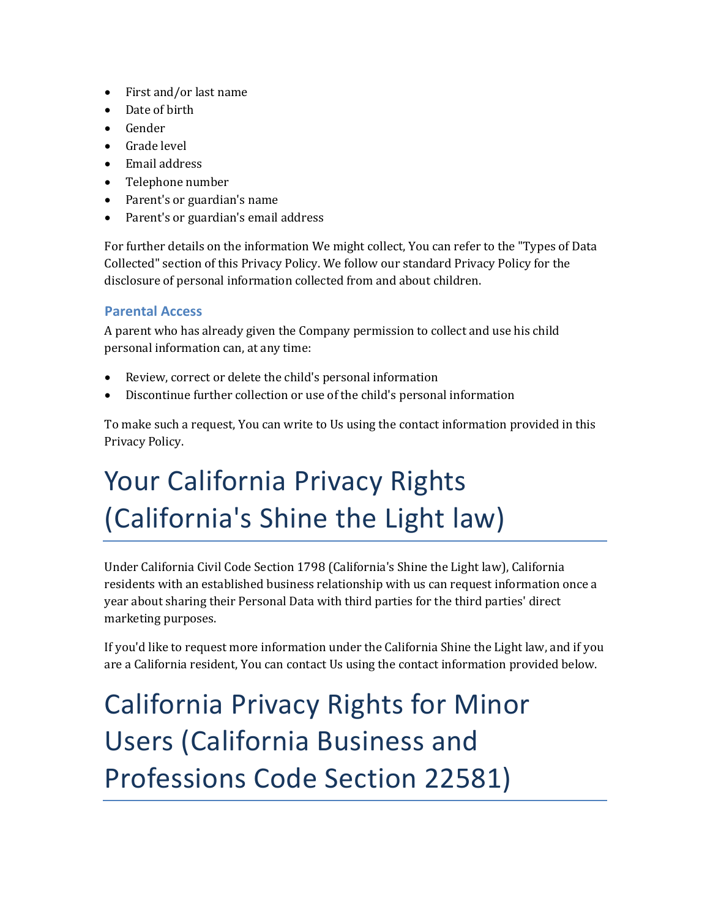- First and/or last name
- Date of birth
- Gender
- Grade level
- Email address
- Telephone number
- Parent's or guardian's name
- Parent's or guardian's email address

For further details on the information We might collect, You can refer to the "Types of Data Collected" section of this Privacy Policy. We follow our standard Privacy Policy for the disclosure of personal information collected from and about children.

## **Parental Access**

A parent who has already given the Company permission to collect and use his child personal information can, at any time:

- Review, correct or delete the child's personal information
- Discontinue further collection or use of the child's personal information

To make such a request, You can write to Us using the contact information provided in this Privacy Policy.

# Your California Privacy Rights (California's Shine the Light law)

Under California Civil Code Section 1798 (California's Shine the Light law), California residents with an established business relationship with us can request information once a year about sharing their Personal Data with third parties for the third parties' direct marketing purposes.

If you'd like to request more information under the California Shine the Light law, and if you are a California resident, You can contact Us using the contact information provided below.

California Privacy Rights for Minor Users (California Business and Professions Code Section 22581)